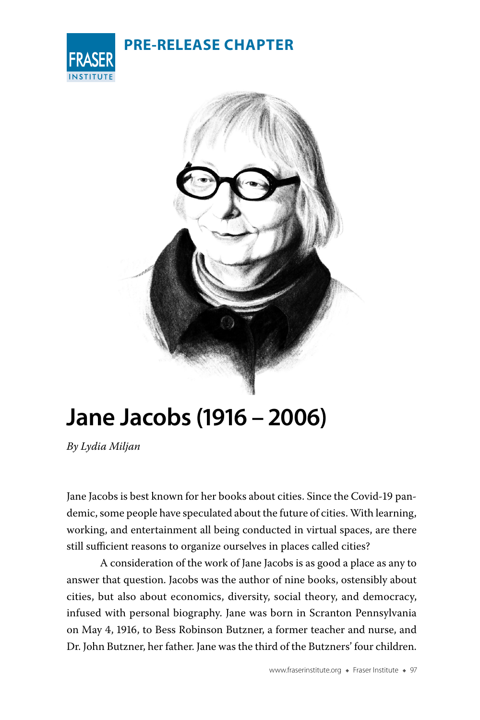| <b>PRE-RELEASE CHAPTER</b> |
|----------------------------|
|----------------------------|





# **Jane Jacobs (1916 – 2006)**

*By Lydia Miljan*

Jane Jacobs is best known for her books about cities. Since the Covid-19 pandemic, some people have speculated about the future of cities. With learning, working, and entertainment all being conducted in virtual spaces, are there still sufficient reasons to organize ourselves in places called cities?

A consideration of the work of Jane Jacobs is as good a place as any to answer that question. Jacobs was the author of nine books, ostensibly about cities, but also about economics, diversity, social theory, and democracy, infused with personal biography. Jane was born in Scranton Pennsylvania on May 4, 1916, to Bess Robinson Butzner, a former teacher and nurse, and Dr. John Butzner, her father. Jane was the third of the Butzners' four children.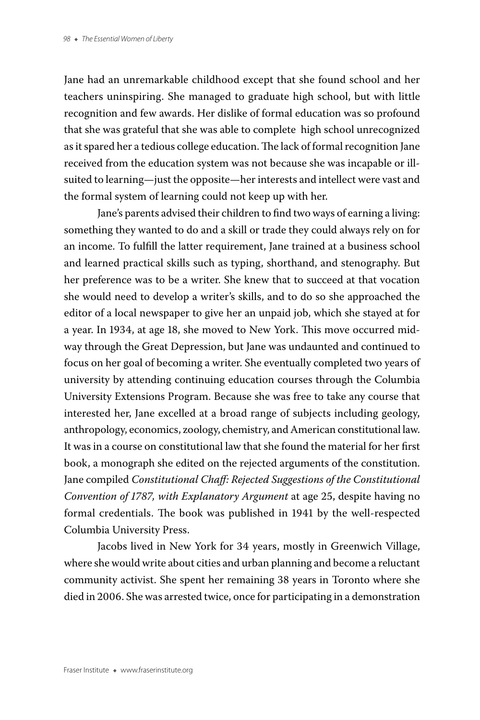Jane had an unremarkable childhood except that she found school and her teachers uninspiring. She managed to graduate high school, but with little recognition and few awards. Her dislike of formal education was so profound that she was grateful that she was able to complete high school unrecognized as it spared her a tedious college education. The lack of formal recognition Jane received from the education system was not because she was incapable or illsuited to learning—just the opposite—her interests and intellect were vast and the formal system of learning could not keep up with her.

Jane's parents advised their children to find two ways of earning a living: something they wanted to do and a skill or trade they could always rely on for an income. To fulfill the latter requirement, Jane trained at a business school and learned practical skills such as typing, shorthand, and stenography. But her preference was to be a writer. She knew that to succeed at that vocation she would need to develop a writer's skills, and to do so she approached the editor of a local newspaper to give her an unpaid job, which she stayed at for a year. In 1934, at age 18, she moved to New York. This move occurred midway through the Great Depression, but Jane was undaunted and continued to focus on her goal of becoming a writer. She eventually completed two years of university by attending continuing education courses through the Columbia University Extensions Program. Because she was free to take any course that interested her, Jane excelled at a broad range of subjects including geology, anthropology, economics, zoology, chemistry, and American constitutional law. It was in a course on constitutional law that she found the material for her first book, a monograph she edited on the rejected arguments of the constitution. Jane compiled *Constitutional Chaff: Rejected Suggestions of the Constitutional Convention of 1787, with Explanatory Argument* at age 25, despite having no formal credentials. The book was published in 1941 by the well-respected Columbia University Press.

Jacobs lived in New York for 34 years, mostly in Greenwich Village, where she would write about cities and urban planning and become a reluctant community activist. She spent her remaining 38 years in Toronto where she died in 2006. She was arrested twice, once for participating in a demonstration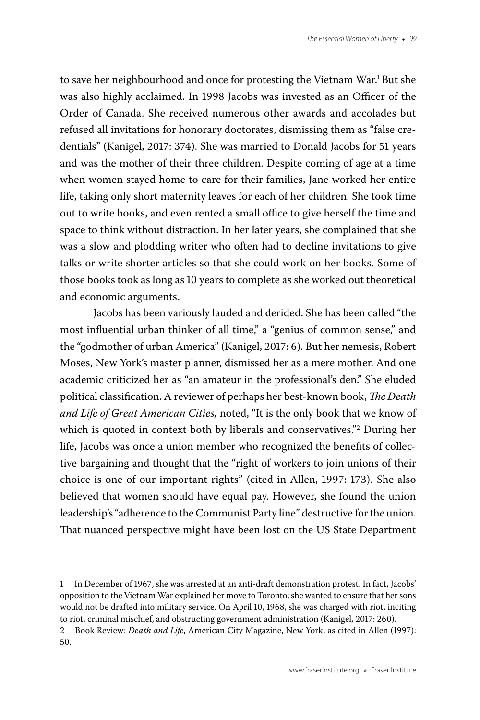to save her neighbourhood and once for protesting the Vietnam War.<sup>1</sup> But she was also highly acclaimed. In 1998 Jacobs was invested as an Officer of the Order of Canada. She received numerous other awards and accolades but refused all invitations for honorary doctorates, dismissing them as "false credentials" (Kanigel, 2017: 374). She was married to Donald Jacobs for 51 years and was the mother of their three children. Despite coming of age at a time when women stayed home to care for their families, Jane worked her entire life, taking only short maternity leaves for each of her children. She took time out to write books, and even rented a small office to give herself the time and space to think without distraction. In her later years, she complained that she was a slow and plodding writer who often had to decline invitations to give talks or write shorter articles so that she could work on her books. Some of those books took as long as 10 years to complete as she worked out theoretical and economic arguments.

Jacobs has been variously lauded and derided. She has been called "the most influential urban thinker of all time," a "genius of common sense," and the "godmother of urban America" (Kanigel, 2017: 6). But her nemesis, Robert Moses, New York's master planner, dismissed her as a mere mother. And one academic criticized her as "an amateur in the professional's den." She eluded political classification. A reviewer of perhaps her best-known book, *The Death and Life of Great American Cities,* noted, "It is the only book that we know of which is quoted in context both by liberals and conservatives."2 During her life, Jacobs was once a union member who recognized the benefits of collective bargaining and thought that the "right of workers to join unions of their choice is one of our important rights" (cited in Allen, 1997: 173). She also believed that women should have equal pay. However, she found the union leadership's "adherence to the Communist Party line" destructive for the union. That nuanced perspective might have been lost on the US State Department

<sup>1</sup> In December of 1967, she was arrested at an anti-draft demonstration protest. In fact, Jacobs' opposition to the Vietnam War explained her move to Toronto; she wanted to ensure that her sons would not be drafted into military service. On April 10, 1968, she was charged with riot, inciting to riot, criminal mischief, and obstructing government administration (Kanigel, 2017: 260).

<sup>2</sup> Book Review: *Death and Life*, American City Magazine, New York, as cited in Allen (1997): 50.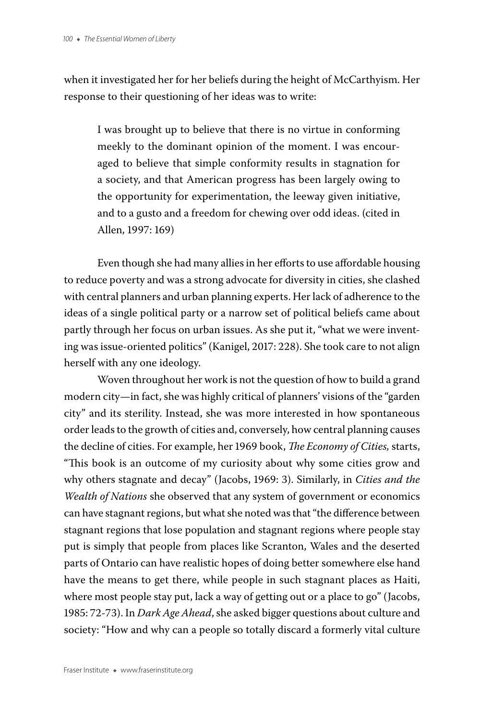when it investigated her for her beliefs during the height of McCarthyism. Her response to their questioning of her ideas was to write:

I was brought up to believe that there is no virtue in conforming meekly to the dominant opinion of the moment. I was encouraged to believe that simple conformity results in stagnation for a society, and that American progress has been largely owing to the opportunity for experimentation, the leeway given initiative, and to a gusto and a freedom for chewing over odd ideas. (cited in Allen, 1997: 169)

Even though she had many allies in her efforts to use affordable housing to reduce poverty and was a strong advocate for diversity in cities, she clashed with central planners and urban planning experts. Her lack of adherence to the ideas of a single political party or a narrow set of political beliefs came about partly through her focus on urban issues. As she put it, "what we were inventing was issue-oriented politics" (Kanigel, 2017: 228). She took care to not align herself with any one ideology.

Woven throughout her work is not the question of how to build a grand modern city—in fact, she was highly critical of planners' visions of the "garden city" and its sterility. Instead, she was more interested in how spontaneous order leads to the growth of cities and, conversely, how central planning causes the decline of cities. For example, her 1969 book, *The Economy of Cities,* starts, "This book is an outcome of my curiosity about why some cities grow and why others stagnate and decay" (Jacobs, 1969: 3). Similarly, in *Cities and the Wealth of Nations* she observed that any system of government or economics can have stagnant regions, but what she noted was that "the difference between stagnant regions that lose population and stagnant regions where people stay put is simply that people from places like Scranton, Wales and the deserted parts of Ontario can have realistic hopes of doing better somewhere else hand have the means to get there, while people in such stagnant places as Haiti, where most people stay put, lack a way of getting out or a place to go" (Jacobs, 1985: 72-73). In *Dark Age Ahead*, she asked bigger questions about culture and society: "How and why can a people so totally discard a formerly vital culture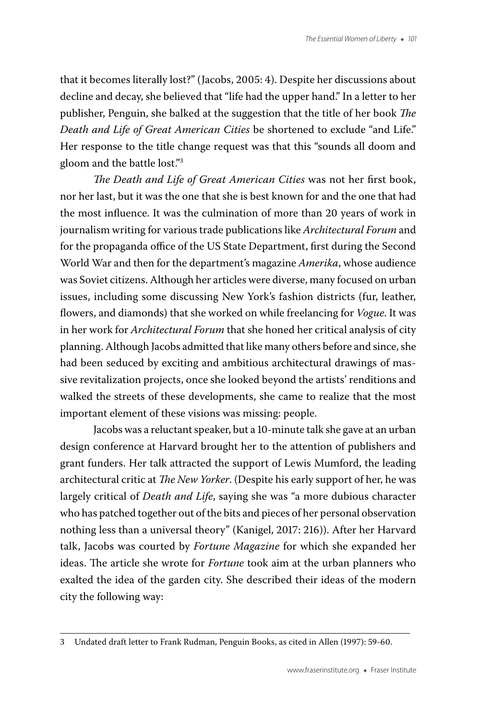that it becomes literally lost?" (Jacobs, 2005: 4). Despite her discussions about decline and decay, she believed that "life had the upper hand." In a letter to her publisher, Penguin, she balked at the suggestion that the title of her book *The Death and Life of Great American Cities* be shortened to exclude "and Life." Her response to the title change request was that this "sounds all doom and gloom and the battle lost."3

*The Death and Life of Great American Cities* was not her first book, nor her last, but it was the one that she is best known for and the one that had the most influence. It was the culmination of more than 20 years of work in journalism writing for various trade publications like *Architectural Forum* and for the propaganda office of the US State Department, first during the Second World War and then for the department's magazine *Amerika*, whose audience was Soviet citizens. Although her articles were diverse, many focused on urban issues, including some discussing New York's fashion districts (fur, leather, flowers, and diamonds) that she worked on while freelancing for *Vogue*. It was in her work for *Architectural Forum* that she honed her critical analysis of city planning. Although Jacobs admitted that like many others before and since, she had been seduced by exciting and ambitious architectural drawings of massive revitalization projects, once she looked beyond the artists' renditions and walked the streets of these developments, she came to realize that the most important element of these visions was missing: people.

Jacobs was a reluctant speaker, but a 10-minute talk she gave at an urban design conference at Harvard brought her to the attention of publishers and grant funders. Her talk attracted the support of Lewis Mumford, the leading architectural critic at *The New Yorker*. (Despite his early support of her, he was largely critical of *Death and Life*, saying she was "a more dubious character who has patched together out of the bits and pieces of her personal observation nothing less than a universal theory" (Kanigel, 2017: 216)). After her Harvard talk, Jacobs was courted by *Fortune Magazine* for which she expanded her ideas. The article she wrote for *Fortune* took aim at the urban planners who exalted the idea of the garden city. She described their ideas of the modern city the following way:

<sup>3</sup> Undated draft letter to Frank Rudman, Penguin Books, as cited in Allen (1997): 59-60.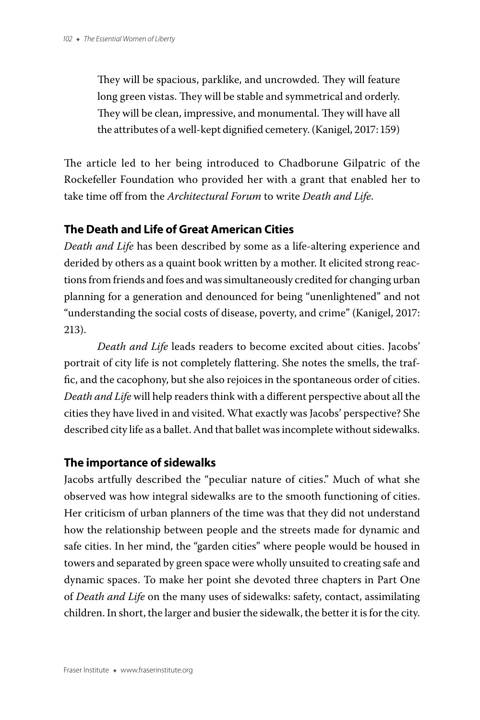They will be spacious, parklike, and uncrowded. They will feature long green vistas. They will be stable and symmetrical and orderly. They will be clean, impressive, and monumental. They will have all the attributes of a well-kept dignified cemetery. (Kanigel, 2017: 159)

The article led to her being introduced to Chadborune Gilpatric of the Rockefeller Foundation who provided her with a grant that enabled her to take time off from the *Architectural Forum* to write *Death and Life*.

# **The Death and Life of Great American Cities**

*Death and Life* has been described by some as a life-altering experience and derided by others as a quaint book written by a mother. It elicited strong reactions from friends and foes and was simultaneously credited for changing urban planning for a generation and denounced for being "unenlightened" and not "understanding the social costs of disease, poverty, and crime" (Kanigel, 2017: 213).

*Death and Life* leads readers to become excited about cities. Jacobs' portrait of city life is not completely flattering. She notes the smells, the traffic, and the cacophony, but she also rejoices in the spontaneous order of cities. *Death and Life* will help readers think with a different perspective about all the cities they have lived in and visited. What exactly was Jacobs' perspective? She described city life as a ballet. And that ballet was incomplete without sidewalks.

# **The importance of sidewalks**

Jacobs artfully described the "peculiar nature of cities." Much of what she observed was how integral sidewalks are to the smooth functioning of cities. Her criticism of urban planners of the time was that they did not understand how the relationship between people and the streets made for dynamic and safe cities. In her mind, the "garden cities" where people would be housed in towers and separated by green space were wholly unsuited to creating safe and dynamic spaces. To make her point she devoted three chapters in Part One of *Death and Life* on the many uses of sidewalks: safety, contact, assimilating children. In short, the larger and busier the sidewalk, the better it is for the city.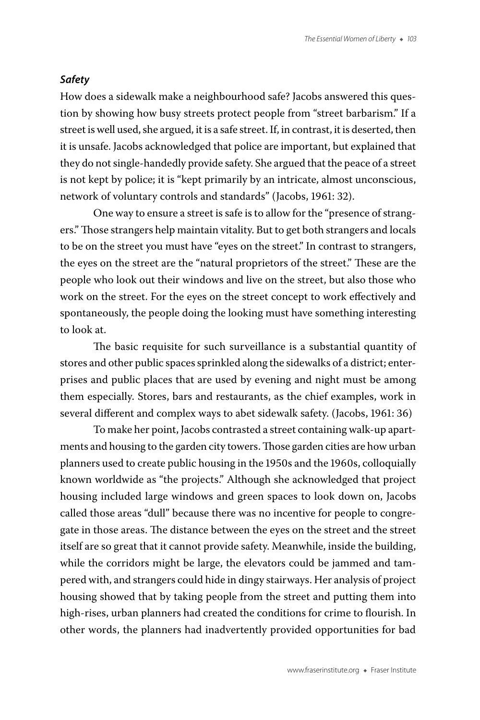#### *Safety*

How does a sidewalk make a neighbourhood safe? Jacobs answered this question by showing how busy streets protect people from "street barbarism." If a street is well used, she argued, it is a safe street. If, in contrast, it is deserted, then it is unsafe. Jacobs acknowledged that police are important, but explained that they do not single-handedly provide safety. She argued that the peace of a street is not kept by police; it is "kept primarily by an intricate, almost unconscious, network of voluntary controls and standards" (Jacobs, 1961: 32).

One way to ensure a street is safe is to allow for the "presence of strangers." Those strangers help maintain vitality. But to get both strangers and locals to be on the street you must have "eyes on the street." In contrast to strangers, the eyes on the street are the "natural proprietors of the street." These are the people who look out their windows and live on the street, but also those who work on the street. For the eyes on the street concept to work effectively and spontaneously, the people doing the looking must have something interesting to look at.

The basic requisite for such surveillance is a substantial quantity of stores and other public spaces sprinkled along the sidewalks of a district; enterprises and public places that are used by evening and night must be among them especially. Stores, bars and restaurants, as the chief examples, work in several different and complex ways to abet sidewalk safety. (Jacobs, 1961: 36)

To make her point, Jacobs contrasted a street containing walk-up apartments and housing to the garden city towers. Those garden cities are how urban planners used to create public housing in the 1950s and the 1960s, colloquially known worldwide as "the projects." Although she acknowledged that project housing included large windows and green spaces to look down on, Jacobs called those areas "dull" because there was no incentive for people to congregate in those areas. The distance between the eyes on the street and the street itself are so great that it cannot provide safety. Meanwhile, inside the building, while the corridors might be large, the elevators could be jammed and tampered with, and strangers could hide in dingy stairways. Her analysis of project housing showed that by taking people from the street and putting them into high-rises, urban planners had created the conditions for crime to flourish. In other words, the planners had inadvertently provided opportunities for bad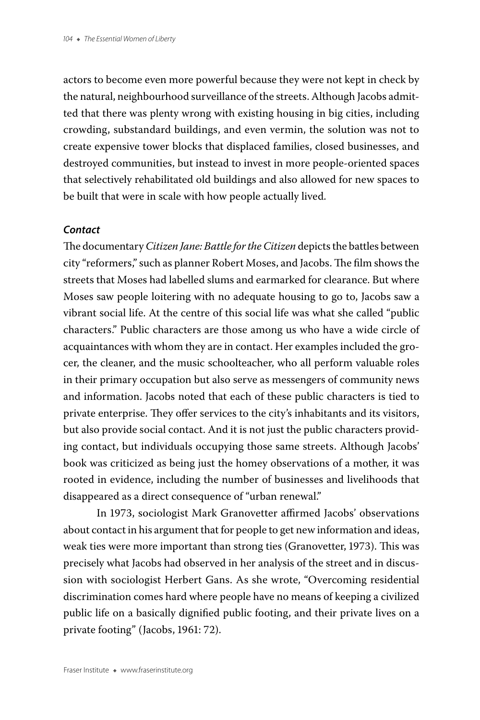actors to become even more powerful because they were not kept in check by the natural, neighbourhood surveillance of the streets. Although Jacobs admitted that there was plenty wrong with existing housing in big cities, including crowding, substandard buildings, and even vermin, the solution was not to create expensive tower blocks that displaced families, closed businesses, and destroyed communities, but instead to invest in more people-oriented spaces that selectively rehabilitated old buildings and also allowed for new spaces to be built that were in scale with how people actually lived.

#### *Contact*

The documentary *Citizen Jane: Battle for the Citizen* depicts the battles between city "reformers," such as planner Robert Moses, and Jacobs. The film shows the streets that Moses had labelled slums and earmarked for clearance. But where Moses saw people loitering with no adequate housing to go to, Jacobs saw a vibrant social life. At the centre of this social life was what she called "public characters." Public characters are those among us who have a wide circle of acquaintances with whom they are in contact. Her examples included the grocer, the cleaner, and the music schoolteacher, who all perform valuable roles in their primary occupation but also serve as messengers of community news and information. Jacobs noted that each of these public characters is tied to private enterprise. They offer services to the city's inhabitants and its visitors, but also provide social contact. And it is not just the public characters providing contact, but individuals occupying those same streets. Although Jacobs' book was criticized as being just the homey observations of a mother, it was rooted in evidence, including the number of businesses and livelihoods that disappeared as a direct consequence of "urban renewal."

In 1973, sociologist Mark Granovetter affirmed Jacobs' observations about contact in his argument that for people to get new information and ideas, weak ties were more important than strong ties (Granovetter, 1973). This was precisely what Jacobs had observed in her analysis of the street and in discussion with sociologist Herbert Gans. As she wrote, "Overcoming residential discrimination comes hard where people have no means of keeping a civilized public life on a basically dignified public footing, and their private lives on a private footing" (Jacobs, 1961: 72).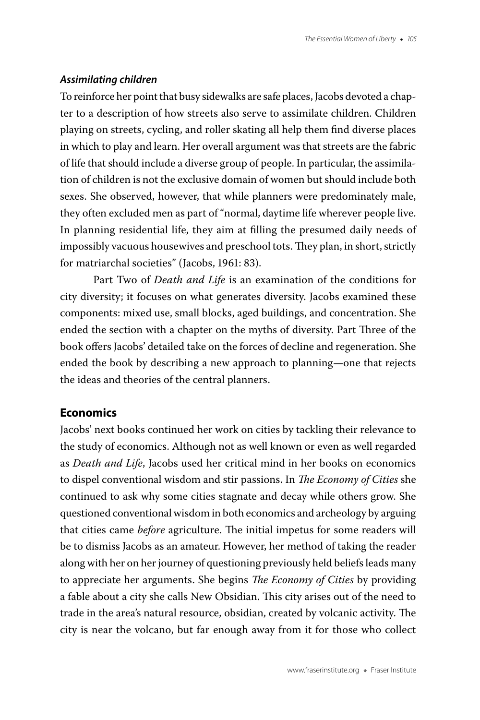#### *Assimilating children*

To reinforce her point that busy sidewalks are safe places, Jacobs devoted a chapter to a description of how streets also serve to assimilate children. Children playing on streets, cycling, and roller skating all help them find diverse places in which to play and learn. Her overall argument was that streets are the fabric of life that should include a diverse group of people. In particular, the assimilation of children is not the exclusive domain of women but should include both sexes. She observed, however, that while planners were predominately male, they often excluded men as part of "normal, daytime life wherever people live. In planning residential life, they aim at filling the presumed daily needs of impossibly vacuous housewives and preschool tots. They plan, in short, strictly for matriarchal societies" (Jacobs, 1961: 83).

Part Two of *Death and Life* is an examination of the conditions for city diversity; it focuses on what generates diversity. Jacobs examined these components: mixed use, small blocks, aged buildings, and concentration. She ended the section with a chapter on the myths of diversity. Part Three of the book offers Jacobs' detailed take on the forces of decline and regeneration. She ended the book by describing a new approach to planning—one that rejects the ideas and theories of the central planners.

## **Economics**

Jacobs' next books continued her work on cities by tackling their relevance to the study of economics. Although not as well known or even as well regarded as *Death and Life*, Jacobs used her critical mind in her books on economics to dispel conventional wisdom and stir passions. In *The Economy of Cities* she continued to ask why some cities stagnate and decay while others grow. She questioned conventional wisdom in both economics and archeology by arguing that cities came *before* agriculture. The initial impetus for some readers will be to dismiss Jacobs as an amateur. However, her method of taking the reader along with her on her journey of questioning previously held beliefs leads many to appreciate her arguments. She begins *The Economy of Cities* by providing a fable about a city she calls New Obsidian. This city arises out of the need to trade in the area's natural resource, obsidian, created by volcanic activity. The city is near the volcano, but far enough away from it for those who collect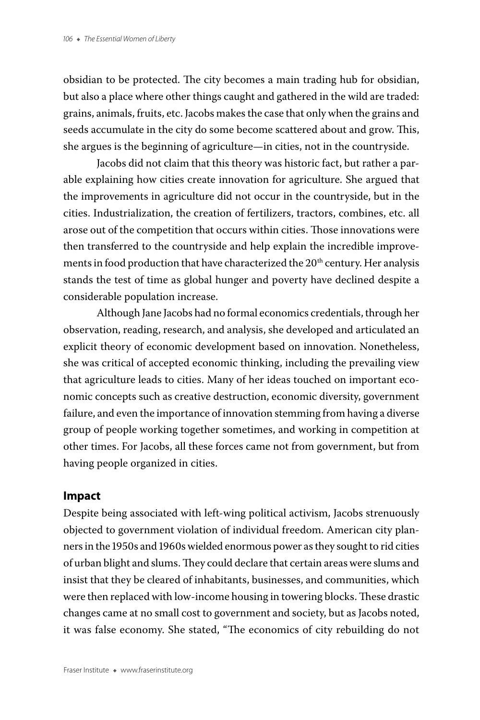obsidian to be protected. The city becomes a main trading hub for obsidian, but also a place where other things caught and gathered in the wild are traded: grains, animals, fruits, etc. Jacobs makes the case that only when the grains and seeds accumulate in the city do some become scattered about and grow. This, she argues is the beginning of agriculture—in cities, not in the countryside.

Jacobs did not claim that this theory was historic fact, but rather a parable explaining how cities create innovation for agriculture. She argued that the improvements in agriculture did not occur in the countryside, but in the cities. Industrialization, the creation of fertilizers, tractors, combines, etc. all arose out of the competition that occurs within cities. Those innovations were then transferred to the countryside and help explain the incredible improvements in food production that have characterized the 20<sup>th</sup> century. Her analysis stands the test of time as global hunger and poverty have declined despite a considerable population increase.

Although Jane Jacobs had no formal economics credentials, through her observation, reading, research, and analysis, she developed and articulated an explicit theory of economic development based on innovation. Nonetheless, she was critical of accepted economic thinking, including the prevailing view that agriculture leads to cities. Many of her ideas touched on important economic concepts such as creative destruction, economic diversity, government failure, and even the importance of innovation stemming from having a diverse group of people working together sometimes, and working in competition at other times. For Jacobs, all these forces came not from government, but from having people organized in cities.

## **Impact**

Despite being associated with left-wing political activism, Jacobs strenuously objected to government violation of individual freedom. American city planners in the 1950s and 1960s wielded enormous power as they sought to rid cities of urban blight and slums. They could declare that certain areas were slums and insist that they be cleared of inhabitants, businesses, and communities, which were then replaced with low-income housing in towering blocks. These drastic changes came at no small cost to government and society, but as Jacobs noted, it was false economy. She stated, "The economics of city rebuilding do not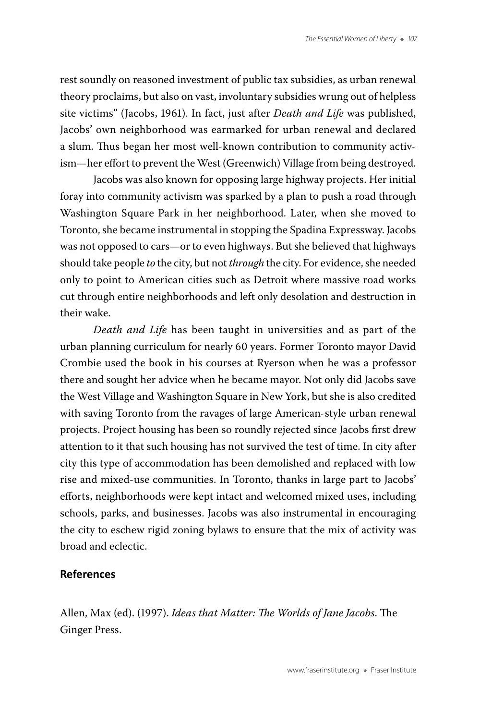rest soundly on reasoned investment of public tax subsidies, as urban renewal theory proclaims, but also on vast, involuntary subsidies wrung out of helpless site victims" (Jacobs, 1961). In fact, just after *Death and Life* was published, Jacobs' own neighborhood was earmarked for urban renewal and declared a slum. Thus began her most well-known contribution to community activism—her effort to prevent the West (Greenwich) Village from being destroyed.

Jacobs was also known for opposing large highway projects. Her initial foray into community activism was sparked by a plan to push a road through Washington Square Park in her neighborhood. Later, when she moved to Toronto, she became instrumental in stopping the Spadina Expressway. Jacobs was not opposed to cars—or to even highways. But she believed that highways should take people *to* the city, but not *through* the city. For evidence, she needed only to point to American cities such as Detroit where massive road works cut through entire neighborhoods and left only desolation and destruction in their wake.

*Death and Life* has been taught in universities and as part of the urban planning curriculum for nearly 60 years. Former Toronto mayor David Crombie used the book in his courses at Ryerson when he was a professor there and sought her advice when he became mayor. Not only did Jacobs save the West Village and Washington Square in New York, but she is also credited with saving Toronto from the ravages of large American-style urban renewal projects. Project housing has been so roundly rejected since Jacobs first drew attention to it that such housing has not survived the test of time. In city after city this type of accommodation has been demolished and replaced with low rise and mixed-use communities. In Toronto, thanks in large part to Jacobs' efforts, neighborhoods were kept intact and welcomed mixed uses, including schools, parks, and businesses. Jacobs was also instrumental in encouraging the city to eschew rigid zoning bylaws to ensure that the mix of activity was broad and eclectic.

## **References**

Allen, Max (ed). (1997). *Ideas that Matter: The Worlds of Jane Jacobs*. The Ginger Press.